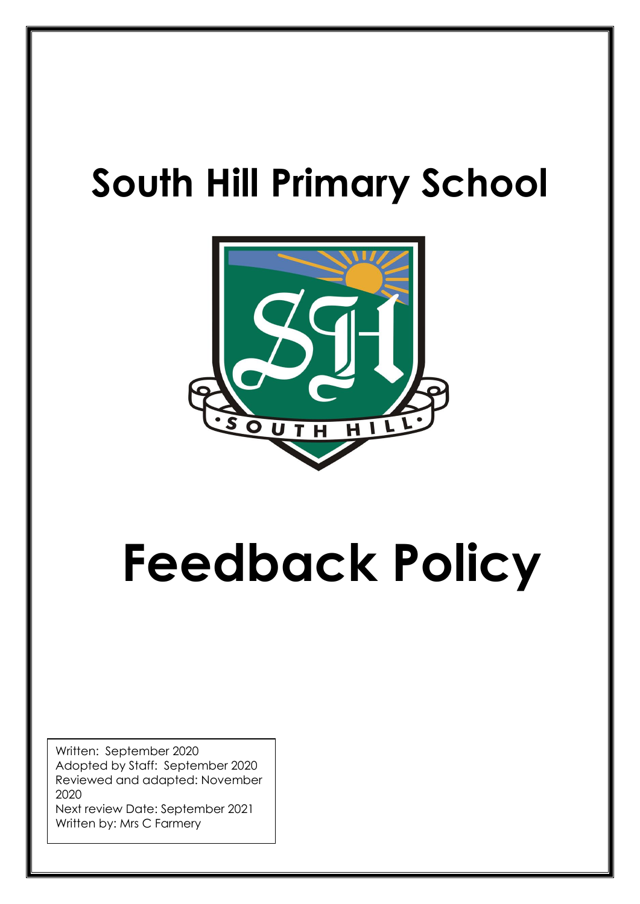## **South Hill Primary School**



# **Feedback Policy**

Written: September 2020 Adopted by Staff: September 2020 Reviewed and adapted: November 2020

Next review Date: September 2021 Written by: Mrs C Farmery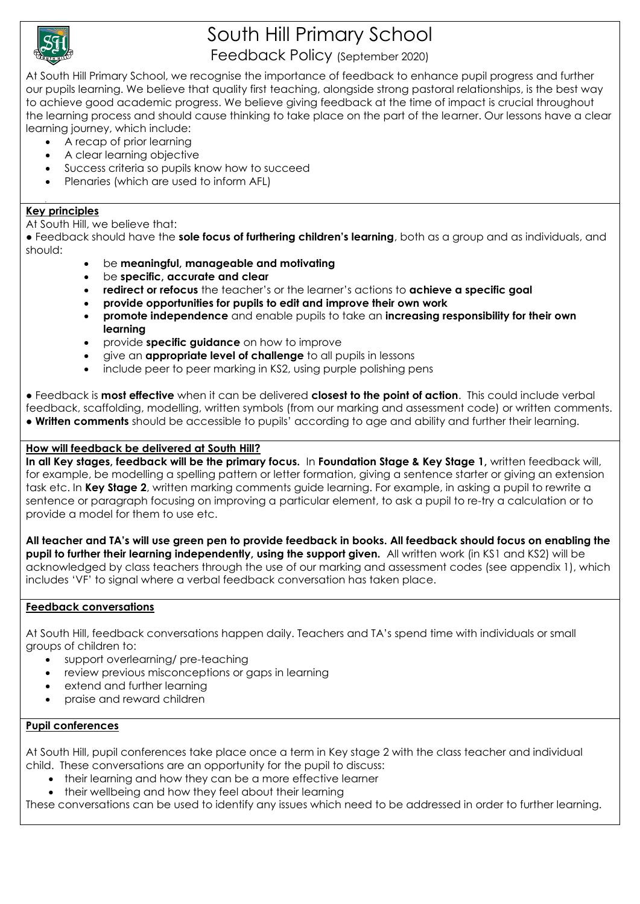

## South Hill Primary School

#### Feedback Policy (September 2020)

At South Hill Primary School, we recognise the importance of feedback to enhance pupil progress and further our pupils learning. We believe that quality first teaching, alongside strong pastoral relationships, is the best way to achieve good academic progress. We believe giving feedback at the time of impact is crucial throughout the learning process and should cause thinking to take place on the part of the learner. Our lessons have a clear learning journey, which include:

- A recap of prior learning
	- A clear learning objective
	- Success criteria so pupils know how to succeed
- Plenaries (which are used to inform AFL)

#### **Key principles**

.

At South Hill, we believe that:

● Feedback should have the **sole focus of furthering children's learning**, both as a group and as individuals, and should:

- be **meaningful, manageable and motivating**
- be **specific, accurate and clear**
- **redirect or refocus** the teacher's or the learner's actions to **achieve a specific goal**
- **provide opportunities for pupils to edit and improve their own work**
- **promote independence** and enable pupils to take an **increasing responsibility for their own learning**
- provide **specific guidance** on how to improve
- give an **appropriate level of challenge** to all pupils in lessons
- include peer to peer marking in KS2, using purple polishing pens

● Feedback is **most effective** when it can be delivered **closest to the point of action**. This could include verbal feedback, scaffolding, modelling, written symbols (from our marking and assessment code) or written comments. ● **Written comments** should be accessible to pupils' according to age and ability and further their learning.

#### **How will feedback be delivered at South Hill?**

In all Key stages, feedback will be the primary focus. In Foundation Stage & Key Stage 1, written feedback will, for example, be modelling a spelling pattern or letter formation, giving a sentence starter or giving an extension task etc. In **Key Stage 2**, written marking comments guide learning. For example, in asking a pupil to rewrite a sentence or paragraph focusing on improving a particular element, to ask a pupil to re-try a calculation or to provide a model for them to use etc.

**All teacher and TA's will use green pen to provide feedback in books. All feedback should focus on enabling the pupil to further their learning independently, using the support given.** All written work (in KS1 and KS2) will be acknowledged by class teachers through the use of our marking and assessment codes (see appendix 1), which includes 'VF' to signal where a verbal feedback conversation has taken place.

#### **Feedback conversations**

At South Hill, feedback conversations happen daily. Teachers and TA's spend time with individuals or small groups of children to:

- support overlearning/ pre-teaching
- review previous misconceptions or gaps in learning
- extend and further learning
- praise and reward children

#### **Pupil conferences**

At South Hill, pupil conferences take place once a term in Key stage 2 with the class teacher and individual child. These conversations are an opportunity for the pupil to discuss:

- their learning and how they can be a more effective learner
- their wellbeing and how they feel about their learning

These conversations can be used to identify any issues which need to be addressed in order to further learning.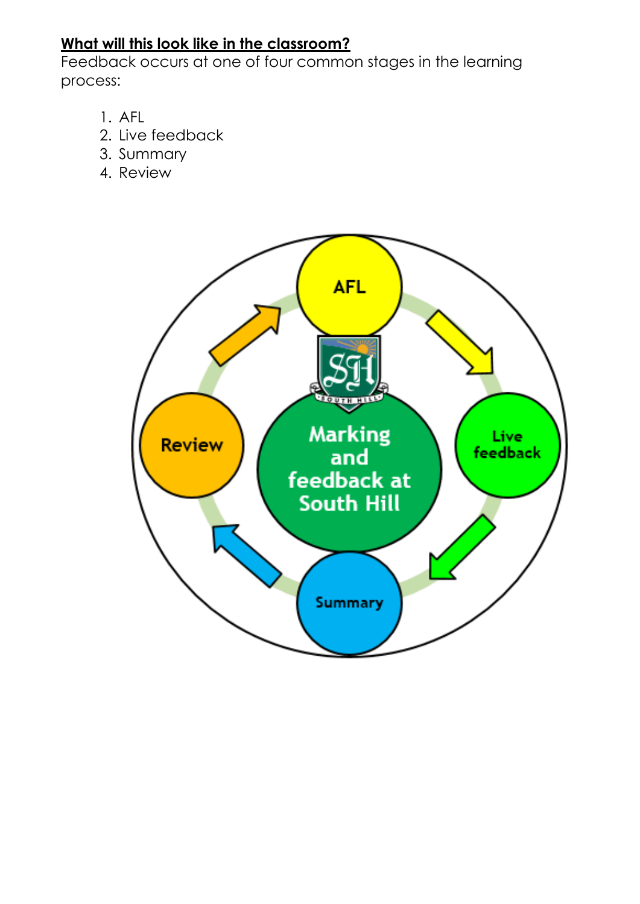### **What will this look like in the classroom?**

Feedback occurs at one of four common stages in the learning process:

- 1. AFL
- 2. Live feedback
- 3. Summary
- 4. Review

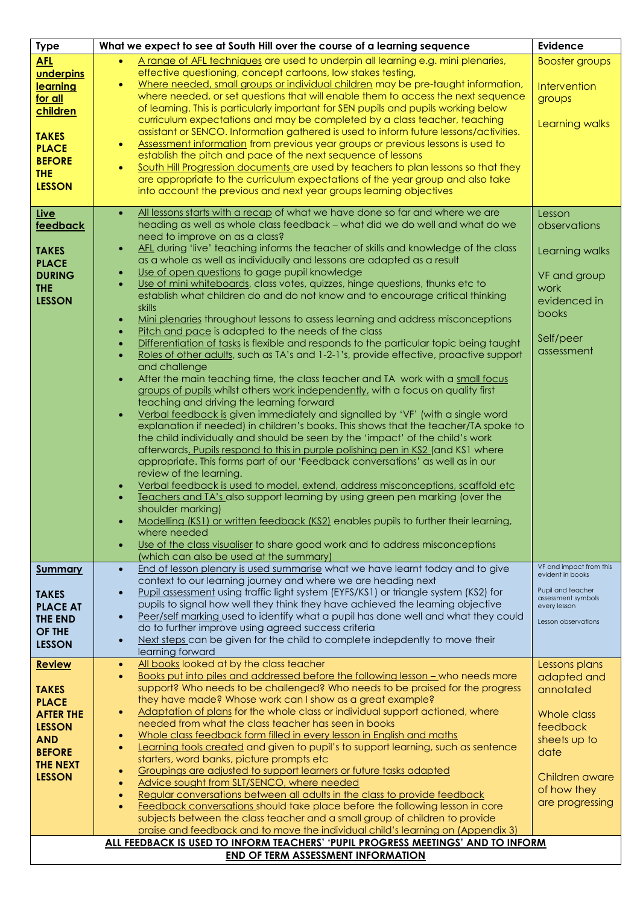| <b>Type</b>      | What we expect to see at South Hill over the course of a learning sequence<br><b>Evidence</b>                                                                                       |                                    |  |  |  |  |
|------------------|-------------------------------------------------------------------------------------------------------------------------------------------------------------------------------------|------------------------------------|--|--|--|--|
| <b>AFL</b>       | A range of AFL techniques are used to underpin all learning e.g. mini plenaries,                                                                                                    | <b>Booster groups</b>              |  |  |  |  |
| underpins        | effective questioning, concept cartoons, low stakes testing,                                                                                                                        |                                    |  |  |  |  |
| learning         | Where needed, small groups or individual children may be pre-taught information,<br>$\bullet$                                                                                       | Intervention                       |  |  |  |  |
| for all          | where needed, or set questions that will enable them to access the next sequence                                                                                                    | groups                             |  |  |  |  |
| children         | of learning. This is particularly important for SEN pupils and pupils working below                                                                                                 |                                    |  |  |  |  |
|                  | curriculum expectations and may be completed by a class teacher, teaching                                                                                                           | Learning walks                     |  |  |  |  |
| <b>TAKES</b>     | assistant or SENCO. Information gathered is used to inform future lessons/activities.                                                                                               |                                    |  |  |  |  |
| <b>PLACE</b>     | Assessment information from previous year groups or previous lessons is used to<br>$\bullet$<br>establish the pitch and pace of the next sequence of lessons                        |                                    |  |  |  |  |
| <b>BEFORE</b>    | South Hill Progression documents are used by teachers to plan lessons so that they<br>$\bullet$                                                                                     |                                    |  |  |  |  |
| <b>THE</b>       | are appropriate to the curriculum expectations of the year group and also take                                                                                                      |                                    |  |  |  |  |
| <b>LESSON</b>    | into account the previous and next year groups learning objectives                                                                                                                  |                                    |  |  |  |  |
|                  |                                                                                                                                                                                     |                                    |  |  |  |  |
| <b>Live</b>      | All lessons starts with a recap of what we have done so far and where we are<br>$\bullet$                                                                                           | Lesson                             |  |  |  |  |
| feedback         | heading as well as whole class feedback - what did we do well and what do we                                                                                                        | observations                       |  |  |  |  |
|                  | need to improve on as a class?                                                                                                                                                      |                                    |  |  |  |  |
| <b>TAKES</b>     | AFL during 'live' teaching informs the teacher of skills and knowledge of the class<br>$\bullet$                                                                                    | Learning walks                     |  |  |  |  |
| <b>PLACE</b>     | as a whole as well as individually and lessons are adapted as a result<br>Use of open questions to gage pupil knowledge                                                             |                                    |  |  |  |  |
| <b>DURING</b>    | $\bullet$<br>Use of mini whiteboards, class votes, quizzes, hinge questions, thunks etc to<br>$\bullet$                                                                             | VF and group                       |  |  |  |  |
| <b>THE</b>       | establish what children do and do not know and to encourage critical thinking                                                                                                       | work                               |  |  |  |  |
| <b>LESSON</b>    | skills                                                                                                                                                                              | evidenced in                       |  |  |  |  |
|                  | Mini plenaries throughout lessons to assess learning and address misconceptions<br>$\bullet$                                                                                        | books                              |  |  |  |  |
|                  | Pitch and pace is adapted to the needs of the class<br>$\bullet$                                                                                                                    |                                    |  |  |  |  |
|                  | Differentiation of tasks is flexible and responds to the particular topic being taught<br>$\bullet$                                                                                 | Self/peer                          |  |  |  |  |
|                  | Roles of other adults, such as TA's and 1-2-1's, provide effective, proactive support<br>$\bullet$                                                                                  | assessment                         |  |  |  |  |
|                  | and challenge                                                                                                                                                                       |                                    |  |  |  |  |
|                  | After the main teaching time, the class teacher and TA work with a small focus<br>$\bullet$                                                                                         |                                    |  |  |  |  |
|                  | groups of pupils whilst others work independently, with a focus on quality first                                                                                                    |                                    |  |  |  |  |
|                  | teaching and driving the learning forward<br>Verbal feedback is given immediately and signalled by 'VF' (with a single word<br>$\bullet$                                            |                                    |  |  |  |  |
|                  | explanation if needed) in children's books. This shows that the teacher/TA spoke to                                                                                                 |                                    |  |  |  |  |
|                  | the child individually and should be seen by the 'impact' of the child's work                                                                                                       |                                    |  |  |  |  |
|                  | afterwards. Pupils respond to this in purple polishing pen in KS2 (and KS1 where                                                                                                    |                                    |  |  |  |  |
|                  | appropriate. This forms part of our 'Feedback conversations' as well as in our                                                                                                      |                                    |  |  |  |  |
|                  | review of the learning.                                                                                                                                                             |                                    |  |  |  |  |
|                  | Verbal feedback is used to model, extend, address misconceptions, scaffold etc<br>$\bullet$                                                                                         |                                    |  |  |  |  |
|                  | Teachers and TA's also support learning by using green pen marking (over the<br>$\bullet$                                                                                           |                                    |  |  |  |  |
|                  | shoulder marking)                                                                                                                                                                   |                                    |  |  |  |  |
|                  | Modelling (KS1) or written feedback (KS2) enables pupils to further their learning,                                                                                                 |                                    |  |  |  |  |
|                  | where needed<br>Use of the class visualiser to share good work and to address misconceptions<br>$\bullet$                                                                           |                                    |  |  |  |  |
|                  | (which can also be used at the summary)                                                                                                                                             |                                    |  |  |  |  |
| <b>Summary</b>   | End of lesson plenary is used summarise what we have learnt today and to give<br>$\bullet$                                                                                          | VF and impact from this            |  |  |  |  |
|                  | context to our learning journey and where we are heading next                                                                                                                       | evident in books                   |  |  |  |  |
| <b>TAKES</b>     | Pupil assessment using traffic light system (EYFS/KS1) or triangle system (KS2) for<br>$\bullet$                                                                                    | Pupil and teacher                  |  |  |  |  |
| <b>PLACE AT</b>  | pupils to signal how well they think they have achieved the learning objective                                                                                                      | assessment symbols<br>every lesson |  |  |  |  |
| <b>THE END</b>   | Peer/self marking used to identify what a pupil has done well and what they could<br>$\bullet$                                                                                      | Lesson observations                |  |  |  |  |
| <b>OF THE</b>    | do to further improve using agreed success criteria                                                                                                                                 |                                    |  |  |  |  |
| <b>LESSON</b>    | Next steps can be given for the child to complete indepdently to move their<br>$\bullet$                                                                                            |                                    |  |  |  |  |
|                  | learning forward                                                                                                                                                                    |                                    |  |  |  |  |
| <b>Review</b>    | All books looked at by the class teacher<br>$\bullet$<br>Books put into piles and addressed before the following lesson - who needs more<br>$\bullet$                               | Lessons plans<br>adapted and       |  |  |  |  |
| <b>TAKES</b>     | support? Who needs to be challenged? Who needs to be praised for the progress                                                                                                       | annotated                          |  |  |  |  |
| <b>PLACE</b>     | they have made? Whose work can I show as a great example?                                                                                                                           |                                    |  |  |  |  |
| <b>AFTER THE</b> | Adaptation of plans for the whole class or individual support actioned, where<br>$\bullet$                                                                                          | Whole class                        |  |  |  |  |
| <b>LESSON</b>    | needed from what the class teacher has seen in books                                                                                                                                | feedback                           |  |  |  |  |
| <b>AND</b>       | Whole class feedback form filled in every lesson in English and maths<br>$\bullet$                                                                                                  | sheets up to                       |  |  |  |  |
| <b>BEFORE</b>    | Learning tools created and given to pupil's to support learning, such as sentence<br>$\bullet$                                                                                      | date                               |  |  |  |  |
| <b>THE NEXT</b>  | starters, word banks, picture prompts etc                                                                                                                                           |                                    |  |  |  |  |
| <b>LESSON</b>    | Groupings are adjusted to support learners or future tasks adapted<br>$\bullet$                                                                                                     | Children aware                     |  |  |  |  |
|                  | Advice sought from SLT/SENCO, where needed<br>$\bullet$                                                                                                                             | of how they                        |  |  |  |  |
|                  | Regular conversations between all adults in the class to provide feedback<br>$\bullet$<br>Feedback conversations should take place before the following lesson in core<br>$\bullet$ | are progressing                    |  |  |  |  |
|                  | subjects between the class teacher and a small group of children to provide                                                                                                         |                                    |  |  |  |  |
|                  | praise and feedback and to move the individual child's learning on (Appendix 3)                                                                                                     |                                    |  |  |  |  |
|                  | ALL FEEDBACK IS USED TO INFORM TEACHERS' 'PUPIL PROGRESS MEETINGS' AND TO INFORM                                                                                                    |                                    |  |  |  |  |
|                  | <b>END OF TERM ASSESSMENT INFORMATION</b>                                                                                                                                           |                                    |  |  |  |  |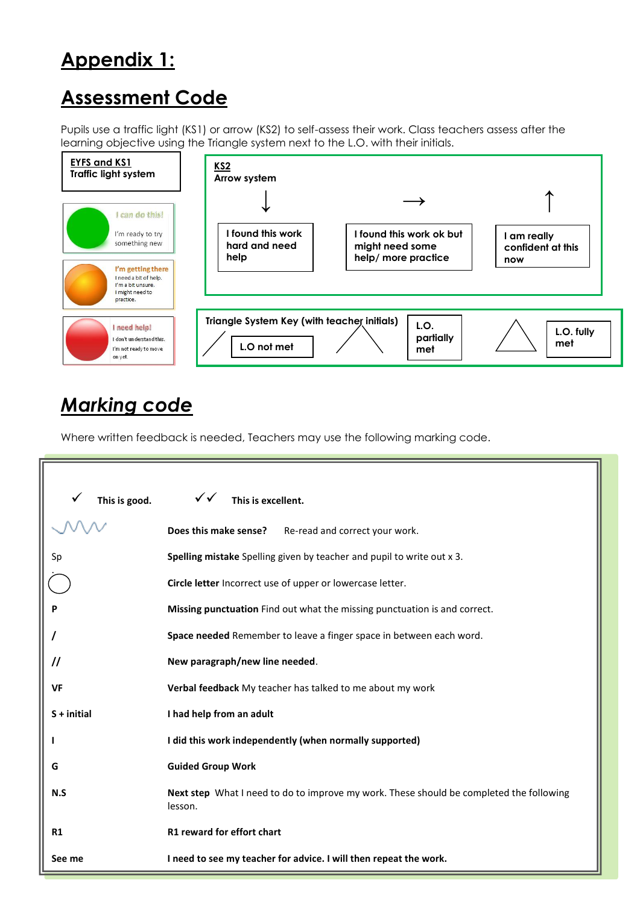## **Appendix 1:**

## **Assessment Code**

Pupils use a traffic light (KS1) or arrow (KS2) to self-assess their work. Class teachers assess after the learning objective using the Triangle system next to the L.O. with their initials.



## *Marking code*

Where written feedback is needed, Teachers may use the following marking code.

| This is good.     | $\checkmark$<br>This is excellent.                                                                 |  |  |  |  |  |
|-------------------|----------------------------------------------------------------------------------------------------|--|--|--|--|--|
|                   | Does this make sense?<br>Re-read and correct your work.                                            |  |  |  |  |  |
| Sp                | Spelling mistake Spelling given by teacher and pupil to write out x 3.                             |  |  |  |  |  |
|                   | Circle letter Incorrect use of upper or lowercase letter.                                          |  |  |  |  |  |
|                   | Missing punctuation Find out what the missing punctuation is and correct.                          |  |  |  |  |  |
|                   | Space needed Remember to leave a finger space in between each word.                                |  |  |  |  |  |
| $^{\prime\prime}$ | New paragraph/new line needed.                                                                     |  |  |  |  |  |
| <b>VF</b>         | Verbal feedback My teacher has talked to me about my work                                          |  |  |  |  |  |
| $S + initial$     | I had help from an adult                                                                           |  |  |  |  |  |
|                   | I did this work independently (when normally supported)                                            |  |  |  |  |  |
| G                 | <b>Guided Group Work</b>                                                                           |  |  |  |  |  |
| N.S               | Next step What I need to do to improve my work. These should be completed the following<br>lesson. |  |  |  |  |  |
| <b>R1</b>         | R1 reward for effort chart                                                                         |  |  |  |  |  |
| See me            | I need to see my teacher for advice. I will then repeat the work.                                  |  |  |  |  |  |